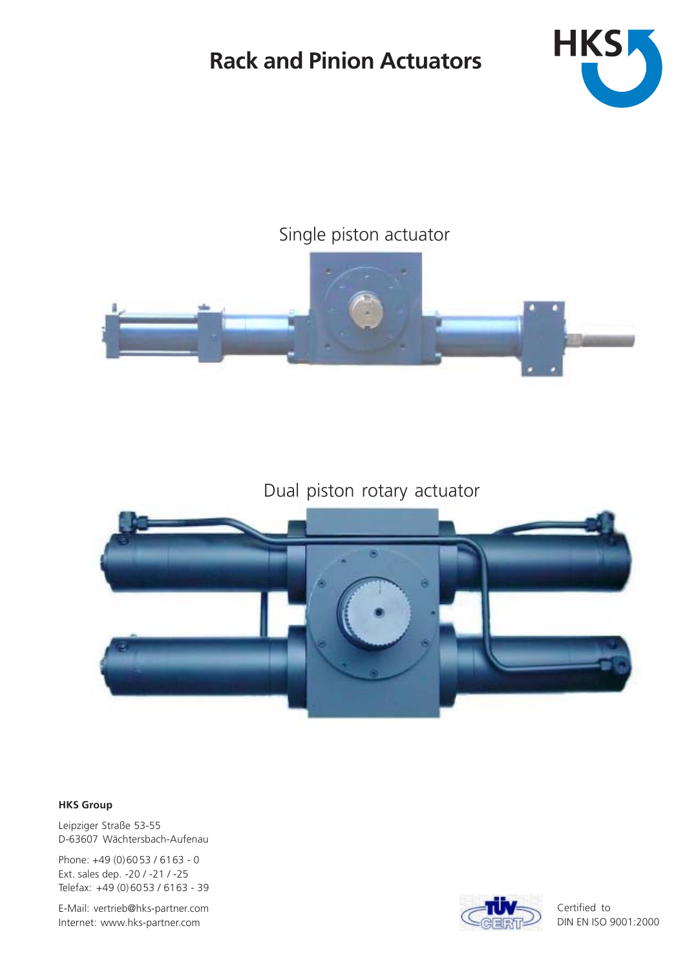# **Rack and Pinion Actuators**



## Single piston actuator



# Dual piston rotary actuator



### **HKS Group**

Leipziger Straße 53-55 D-63607 Wächtersbach-Aufenau

Phone: +49 (0)60 53 / 61 63 - 0 Ext. sales dep. -20 / -21 / -25 Telefax: +49 (0)6053 / 6163 - 39

E-Mail: vertrieb@hks-partner.com Internet: www.hks-partner.com



Certified to DIN EN ISO 9001:2000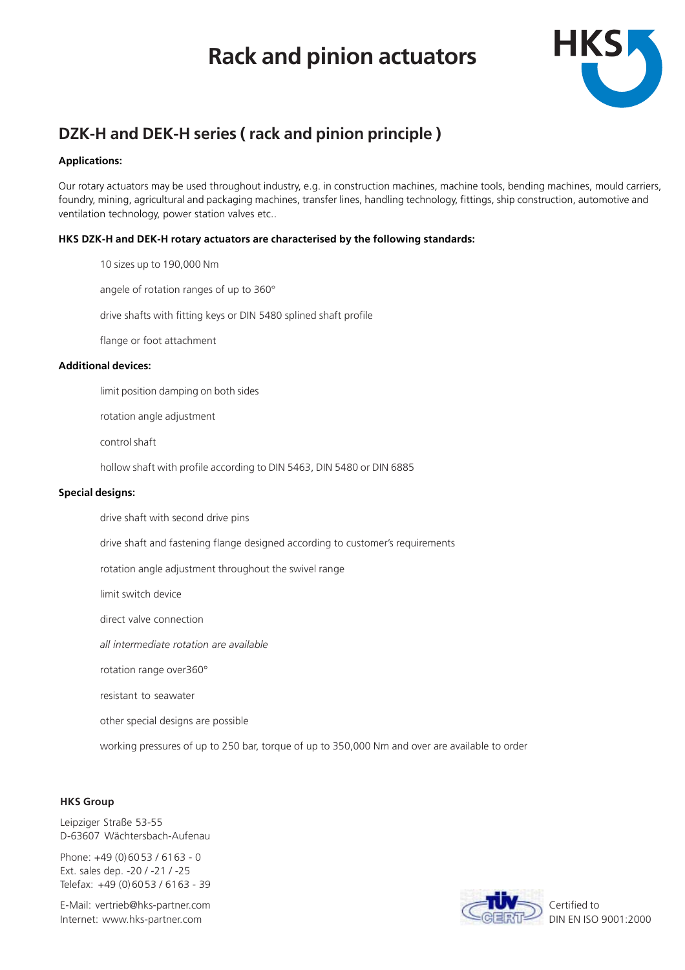# **Rack and pinion actuators**



### **DZK-H and DEK-H series ( rack and pinion principle )**

### **Applications:**

Our rotary actuators may be used throughout industry, e.g. in construction machines, machine tools, bending machines, mould carriers, foundry, mining, agricultural and packaging machines, transfer lines, handling technology, fittings, ship construction, automotive and ventilation technology, power station valves etc..

### **HKS DZK-H and DEK-H rotary actuators are characterised by the following standards:**

10 sizes up to 190,000 Nm

angele of rotation ranges of up to 360°

drive shafts with fitting keys or DIN 5480 splined shaft profile

flange or foot attachment

### **Additional devices:**

limit position damping on both sides

rotation angle adjustment

control shaft

hollow shaft with profile according to DIN 5463, DIN 5480 or DIN 6885

### **Special designs:**

drive shaft with second drive pins

drive shaft and fastening flange designed according to customer's requirements

rotation angle adjustment throughout the swivel range

limit switch device

direct valve connection

*all intermediate rotation are available*

rotation range over360°

resistant to seawater

other special designs are possible

working pressures of up to 250 bar, torque of up to 350,000 Nm and over are available to order

### **HKS Group**

Leipziger Straße 53-55 D-63607 Wächtersbach-Aufenau

Phone: +49 (0)6053 / 6163 - 0 Ext. sales dep. -20 / -21 / -25 Telefax: +49 (0)6053 / 6163 - 39

E-Mail: vertrieb@hks-partner.com Internet: www.hks-partner.com



Certified to DIN EN ISO 9001:2000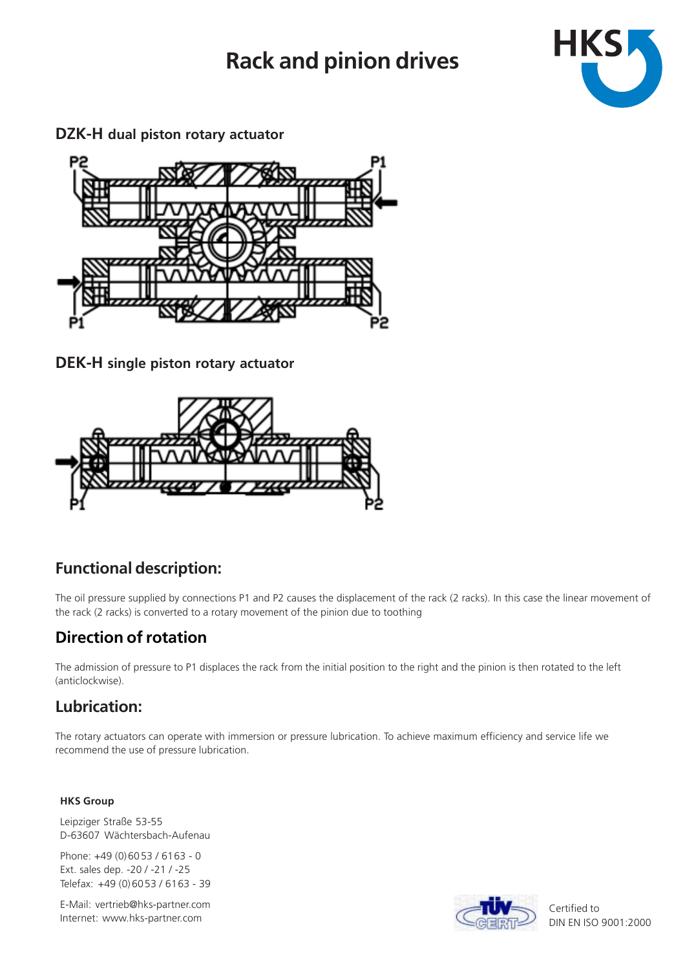# **Rack and pinion drives**



**DZK-H dual piston rotary actuator**



**DEK-H single piston rotary actuator**



## **Functional description:**

The oil pressure supplied by connections P1 and P2 causes the displacement of the rack (2 racks). In this case the linear movement of the rack (2 racks) is converted to a rotary movement of the pinion due to toothing

## **Direction of rotation**

The admission of pressure to P1 displaces the rack from the initial position to the right and the pinion is then rotated to the left (anticlockwise).

## **Lubrication:**

The rotary actuators can operate with immersion or pressure lubrication. To achieve maximum efficiency and service life we recommend the use of pressure lubrication.

### **HKS Group**

Leipziger Straße 53-55 D-63607 Wächtersbach-Aufenau

Phone: +49 (0)6053 / 6163 - 0 Ext. sales dep. -20 / -21 / -25 Telefax: +49 (0)6053 / 6163 - 39

E-Mail: vertrieb@hks-partner.com Internet: www.hks-partner.com



Certified to DIN EN ISO 9001:2000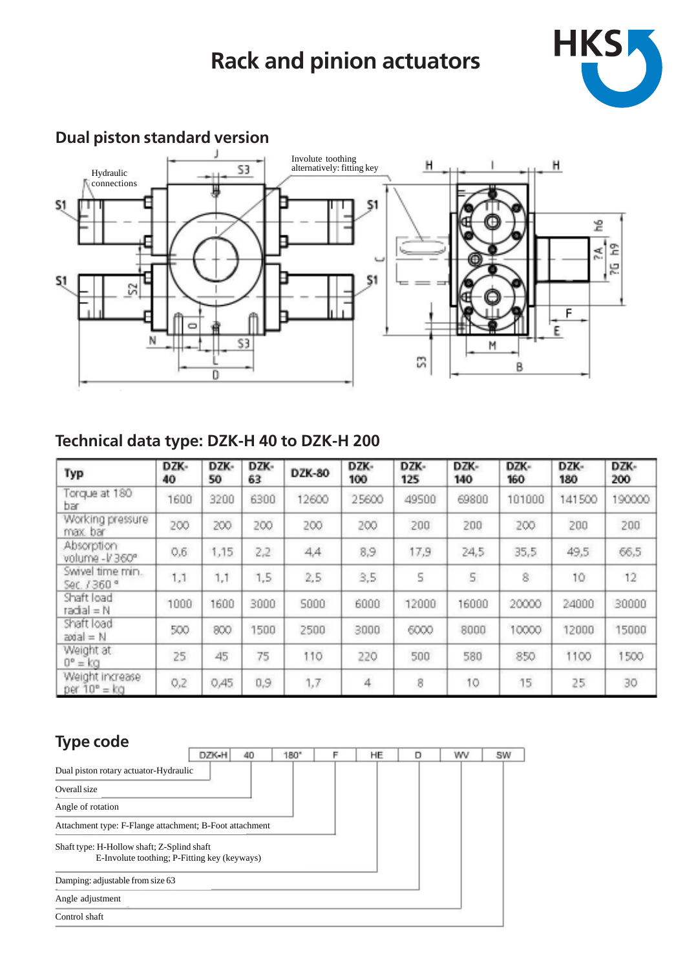# **Rack and pinion actuators**





# **Dual piston standard version**

## **Technical data type: DZK-H 40 to DZK-H 200**

| Typ                                      | DZK-<br>40 | DZK-<br>50 | DZK-<br>63. | DZK-80 | DZK-<br>100 | DZK-<br>125 | DZK-<br>140 | DZK-<br>160 | DZK-<br>180 | DZK-<br>200 |
|------------------------------------------|------------|------------|-------------|--------|-------------|-------------|-------------|-------------|-------------|-------------|
| Torque at 180<br>bar.                    | 1600       | 3200       | 6300        | 12600  | 25600       | 49500       | 69800       | 101000      | 141500      | 190000      |
| Working pressure<br>max bar              | 200        | 200        | 200         | 200    | 200         | 200         | 200         | 200         | 200         | 200         |
| Absorption<br>volume -V360°              | 0,6        | 1,15       | 2,2         | 4,4    | 8,9         | 17,9        | 24,5        | 35,5        | 49,5        | 66,5        |
| Swivel time min.<br>Sec. 7360 °          | 1,1        | 1,1        | 1,5         | 25     | 3,5         | 5           | 5           | 8           | 10          | 12          |
| Shaft load<br>$radial = N$               | 1000       | 1600       | 3000        | 5000   | 6000        | 12000       | 16000       | 20000       | 24000       | 30000       |
| Shaft load<br>$200aI = N$                | 500        | 800        | 1500        | 2500   | 3000        | 6000        | 8000        | 10000       | 12000       | 15000       |
| Weight at<br>$0^{\circ} = kq$            | 25.        | 45         | 75          | 110    | 220         | 500         | 580         | 850         | 1100        | 1500        |
| Weight increase<br>per $10^{\circ} = kq$ | 0,2        | 0,45       | 0,9         | 1,7    | 4           | 8           | 10          | 15          | 25          | 30          |

# **Type code**

| - 11                                                                                       | DZK-H | 40 | 180" | HE | D | wv | SW |
|--------------------------------------------------------------------------------------------|-------|----|------|----|---|----|----|
| Dual piston rotary actuator-Hydraulic                                                      |       |    |      |    |   |    |    |
| Overall size                                                                               |       |    |      |    |   |    |    |
| Angle of rotation                                                                          |       |    |      |    |   |    |    |
| Attachment type: F-Flange attachment; B-Foot attachment                                    |       |    |      |    |   |    |    |
| Shaft type: H-Hollow shaft; Z-Splind shaft<br>E-Involute toothing; P-Fitting key (keyways) |       |    |      |    |   |    |    |
| Damping: adjustable from size 63                                                           |       |    |      |    |   |    |    |
| Angle adjustment                                                                           |       |    |      |    |   |    |    |
| Control shaft                                                                              |       |    |      |    |   |    |    |
|                                                                                            |       |    |      |    |   |    |    |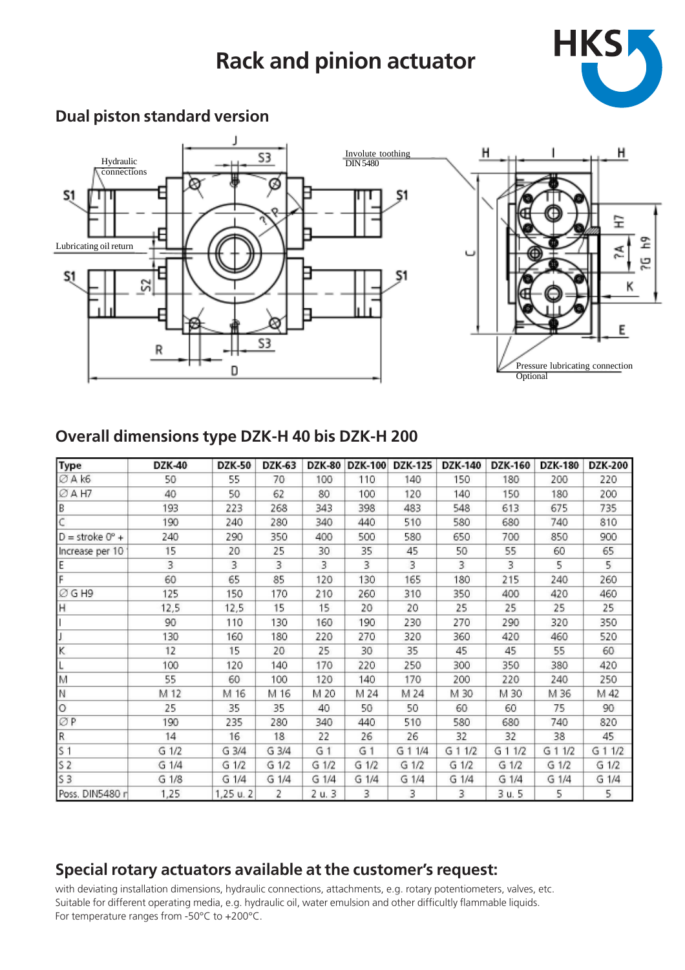# **Rack and pinion actuator**



### **Dual piston standard version**



### **Overall dimensions type DZK-H 40 bis DZK-H 200**

| Type                       | DZK-40    | <b>DZK-50</b> | DZK-63    | DZK-80         | <b>DZK-100</b> | DZK-125 | <b>DZK-140</b> | <b>DZK-160</b> | DZK-180   | <b>DZK-200</b> |
|----------------------------|-----------|---------------|-----------|----------------|----------------|---------|----------------|----------------|-----------|----------------|
| ØA k6                      | 50        | 55            | 70        | 100            | 110            | 140     | 150            | 180            | 200       | 220            |
| ØAH7                       | 40        | 50            | 62        | 80             | 100            | 120     | 140            | 150            | 180       | 200            |
| B                          | 193       | 223           | 268       | 343            | 398            | 483     | 548            | 613            | 675       | 735            |
| C                          | 190       | 240           | 280       | 340            | 440            | 510     | 580            | 680            | 740       | 810            |
| $D =$ stroke $0^{\circ}$ + | 240       | 290           | 350       | 400            | 500            | 580     | 650            | 700            | 850       | 900            |
| Increase per 10            | 15        | 20            | 25        | 30             | 35             | 45      | 50             | 55             | 60        | 65             |
| E                          | 3         | 3             | 3         | 3              | 3              | 3       | 3              | 3              | 5         | 5.             |
| F                          | 60        | 65            | 85        | 120            | 130            | 165     | 180            | 215            | 240       | 260            |
| ØGH9                       | 125       | 150           | 170       | 210            | 260            | 310     | 350            | 400            | 420       | 460            |
| H                          | 12,5      | 12,5          | 15        | 15             | 20             | 20      | 25             | 25             | 25        | 25             |
|                            | 90        | 110           | 130       | 160            | 190            | 230     | 270            | 290            | 320       | 350            |
|                            | 130       | 160           | 180       | 220            | 270            | 320     | 360            | 420            | 460       | 520            |
| Κ                          | 12        | 15            | 20        | 25             | 30             | 35      | 45             | 45             | 55        | 60             |
|                            | 100       | 120           | 140       | 170            | 220            | 250     | 300            | 350            | 380       | 420            |
| M                          | 55        | 60            | 100       | 120            | 140            | 170     | 200            | 220            | 240       | 250            |
| N                          | M 12      | M 16          | M 16      | M 20           | M 24           | M 24    | M 30           | M 30           | M 36      | M 42           |
| $\circ$                    | 25        | 35            | 35        | 40             | 50             | 50      | 60             | 60             | 75        | 90             |
| ØΡ                         | 190       | 235           | 280       | 340            | 440            | 510     | 580            | 680            | 740       | 820            |
| R                          | 14        | 16            | 18        | 22             | 26             | 26      | 32             | 32             | 38        | 45             |
| S <sub>1</sub>             | $G$ $1/2$ | $G$ $3/4$     | $G$ $3/4$ | G <sub>1</sub> | G <sub>1</sub> | G 1 1/4 | $G$ 1 $1/2$    | G 1 1/2        | G 1 1/2   | G 1 1/2        |
| S <sub>2</sub>             | G 1/4     | $G$ $1/2$     | $G$ $1/2$ | G 1/2          | $G$ $1/2$      | $G$ 1/2 | $G$ $1/2$      | G 1/2          | $G$ $1/2$ | G 1/2          |
| S3                         | G 1/8     | $G$ $1/4$     | G 1/4     | G 1/4          | $G$ 1/4        | G 1/4   | $G$ $1/4$      | G 1/4          | G 1/4     | G 1/4          |
| Poss. DIN5480 r            | 1,25      | 1,25 u. 2     | 2         | 2 u. 3         | 3              | 3       | 3              | 3 u. 5         | 5         | 5              |

### **Special rotary actuators available at the customer's request:**

with deviating installation dimensions, hydraulic connections, attachments, e.g. rotary potentiometers, valves, etc. Suitable for different operating media, e.g. hydraulic oil, water emulsion and other difficultly flammable liquids. For temperature ranges from -50°C to +200°C.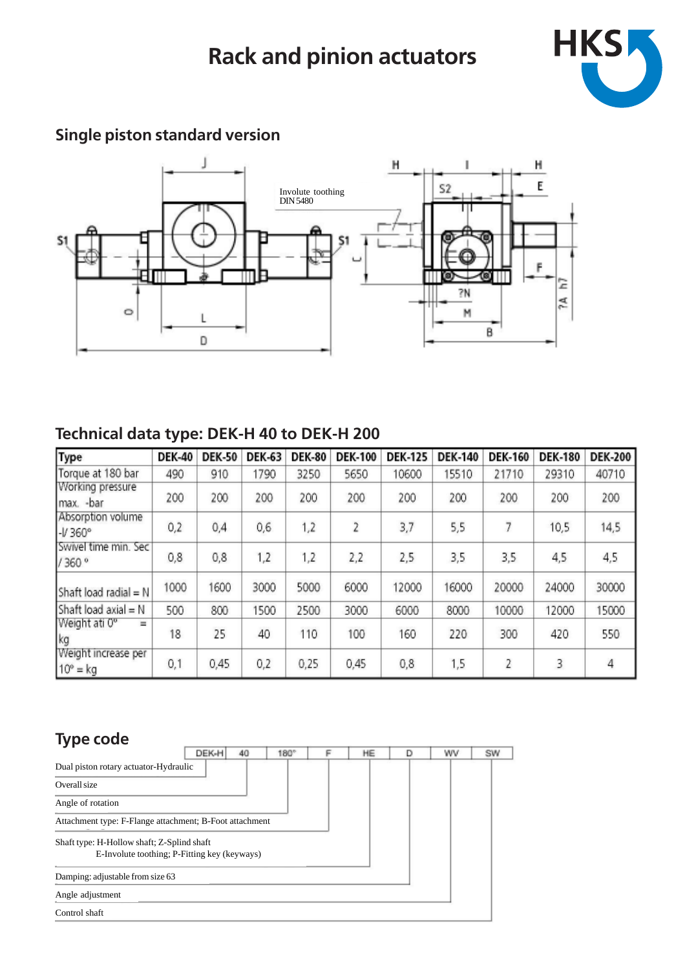

#### $\mathbb H$ I H  $\mathsf{E}^{\mathsf{I}}$  $\mathbb{S}2$ Involute toothing DIN 5480 \$1 Ë Ξ 7Ń À.  $\mathsf{M}% _{T}=\mathsf{M}_{T}\!\left( a,b\right) ,\ \mathsf{M}_{T}=\mathsf{M}_{T}\!\left( a,b\right) ,$  $\circ$ L  $\mathsf B$  $\mathbb D$

# **Single piston standard version**

## **Technical data type: DEK-H 40 to DEK-H 200**

| Type                                   | <b>DEK-40</b> | <b>DEK-50</b> | <b>DEK-63</b> | <b>DEK-80</b> | <b>DEK-100</b> | <b>DEK-125</b> | <b>DEK-140</b> | <b>DEK-160</b> | <b>DEK-180</b> | <b>DEK-200</b> |
|----------------------------------------|---------------|---------------|---------------|---------------|----------------|----------------|----------------|----------------|----------------|----------------|
| Torque at 180 bar                      | 490           | 910           | 1790          | 3250          | 5650           | 10600          | 15510          | 21710          | 29310          | 40710          |
| Working pressure<br>Imax. -bar         | 200           | 200           | 200           | 200           | 200            | 200            | 200            | 200            | 200            | 200            |
| Absorption volume<br>$-V360°$          | 0,2           | 0,4           | 0,6           | 1,2           | $\overline{2}$ | 3,7            | 5,5            | 7              | 10,5           | 14,5           |
| Swivel time min. Sec<br>/360°          | 0,8           | 0,8           | 1,2           | 1,2           | 2,2            | 2,5            | 3,5            | 3,5            | 4,5            | 4,5            |
| Shaft load radial $= N$                | 1000          | 1600          | 3000          | 5000          | 6000           | 12000          | 16000          | 20000          | 24000          | 30000          |
| Shaft load axial $= N$                 | 500           | 800           | 1500          | 2500          | 3000           | 6000           | 8000           | 10000          | 12000          | 15000          |
| Weight ati 0°<br>$=$<br>kg             | 18            | 25            | 40            | 110           | 100            | 160            | 220            | 300            | 420            | 550            |
| Weight increase per<br>$10^\circ$ = kg | 0,1           | 0,45          | 0,2           | 0,25          | 0,45           | 0,8            | 1,5            | 2              | 3              | 4              |

### **Type code**

| - -                                                                                        | DEK-H<br>40 | 180° | HE | wv | SW |
|--------------------------------------------------------------------------------------------|-------------|------|----|----|----|
| Dual piston rotary actuator-Hydraulic                                                      |             |      |    |    |    |
| Overall size                                                                               |             |      |    |    |    |
| Angle of rotation                                                                          |             |      |    |    |    |
| Attachment type: F-Flange attachment; B-Foot attachment                                    |             |      |    |    |    |
| Shaft type: H-Hollow shaft; Z-Splind shaft<br>E-Involute toothing; P-Fitting key (keyways) |             |      |    |    |    |
| Damping: adjustable from size 63                                                           |             |      |    |    |    |
| Angle adjustment                                                                           |             |      |    |    |    |
| Control shaft                                                                              |             |      |    |    |    |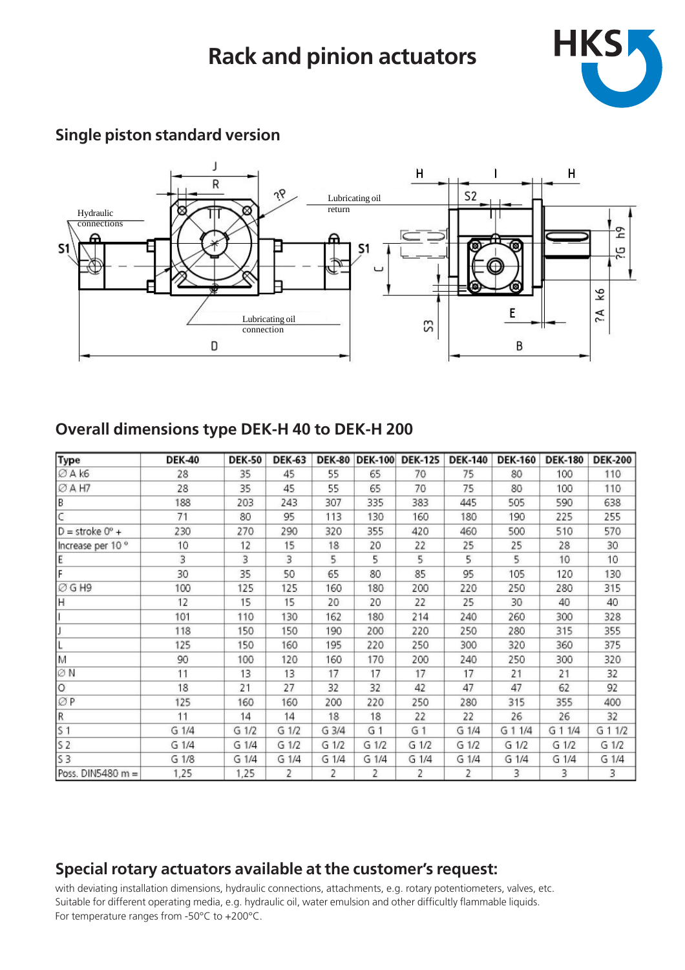

#### J  $\overline{\mathsf{H}}$ T H  $\overline{R}$ ήę  $S<sub>2</sub>$ Lubricating oil ಜ return Hydraulic connections ድ 5 S'  $S<sub>1</sub>$ Þ  $\overline{\mathbf{k}}$ Υċ E Lubricating oil S connection D B

### **Single piston standard version**

### **Overall dimensions type DEK-H 40 to DEK-H 200**

| <b>Type</b>                | <b>DEK-40</b> | <b>DEK-50</b> | <b>DEK-63</b> | <b>DEK-80</b> | <b>DEK-100</b> | <b>DEK-125</b> | <b>DEK-140</b> | <b>DEK-160</b> | <b>DEK-180</b> | <b>DEK-200</b> |
|----------------------------|---------------|---------------|---------------|---------------|----------------|----------------|----------------|----------------|----------------|----------------|
| Ø A k6                     | 28            | 35            | 45            | 55            | 65             | 70             | 75             | 80             | 100            | 110            |
| ØAH7                       | 28            | 35            | 45            | 55            | 65             | 70             | 75             | 80             | 100            | 110            |
| B                          | 188           | 203           | 243           | 307           | 335            | 383            | 445            | 505            | 590            | 638            |
| C                          | 71            | 80            | 95            | 113           | 130            | 160            | 180            | 190            | 225            | 255            |
| $D =$ stroke $0^{\circ}$ + | 230           | 270           | 290           | 320           | 355            | 420            | 460            | 500            | 510            | 570            |
| Increase per 10 °          | 10            | 12            | 15            | 18            | 20             | 22             | 25             | 25             | 28             | 30             |
| E                          | 3             | 3             | 3             | 5             | 5              | 5              | 5              | 5              | 10             | 10             |
| F                          | 30            | 35            | 50            | 65            | 80             | 85             | 95             | 105            | 120            | 130            |
| ØGH9                       | 100           | 125           | 125           | 160           | 180            | 200            | 220            | 250            | 280            | 315            |
| Iн                         | 12            | 15            | 15            | 20            | 20             | 22             | 25             | 30             | 40             | 40             |
|                            | 101           | 110           | 130           | 162           | 180            | 214            | 240            | 260            | 300            | 328            |
|                            | 118           | 150           | 150           | 190           | 200            | 220            | 250            | 280            | 315            | 355            |
| L                          | 125           | 150           | 160           | 195           | 220            | 250            | 300            | 320            | 360            | 375            |
| M                          | 90            | 100           | 120           | 160           | 170            | 200            | 240            | 250            | 300            | 320            |
| ØΝ                         | 11            | 13            | 13            | 17            | 17             | 17             | 17             | 21             | 21             | 32             |
| O                          | 18            | 21            | 27            | 32            | 32             | 42             | 47             | 47             | 62             | 92             |
| ØΡ                         | 125           | 160           | 160           | 200           | 220            | 250            | 280            | 315            | 355            | 400            |
| $\mathsf R$                | 11            | 14            | 14            | 18            | 18             | 22             | 22             | 26             | 26             | 32             |
| S <sub>1</sub>             | G1/4          | G 1/2         | G 1/2         | G 3/4         | G <sub>1</sub> | G <sub>1</sub> | G 1/4          | G 1 1/4        | G 1 1/4        | G 1 1/2        |
| 52                         | G 1/4         | G 1/4         | G 1/2         | G 1/2         | G 1/2          | G 1/2          | G 1/2          | G 1/2          | G 1/2          | G 1/2          |
| 53                         | G 1/8         | G1/4          | G 1/4         | G 1/4         | G 1/4          | G 1/4          | G 1/4          | G 1/4          | G 1/4          | G 1/4          |
| Poss. DIN5480 m =          | 1,25          | 1,25          | 2             | 2             | $\overline{2}$ | 2              | 2              | 3              | 3              | 3              |

### **Special rotary actuators available at the customer's request:**

with deviating installation dimensions, hydraulic connections, attachments, e.g. rotary potentiometers, valves, etc. Suitable for different operating media, e.g. hydraulic oil, water emulsion and other difficultly flammable liquids. For temperature ranges from -50°C to +200°C.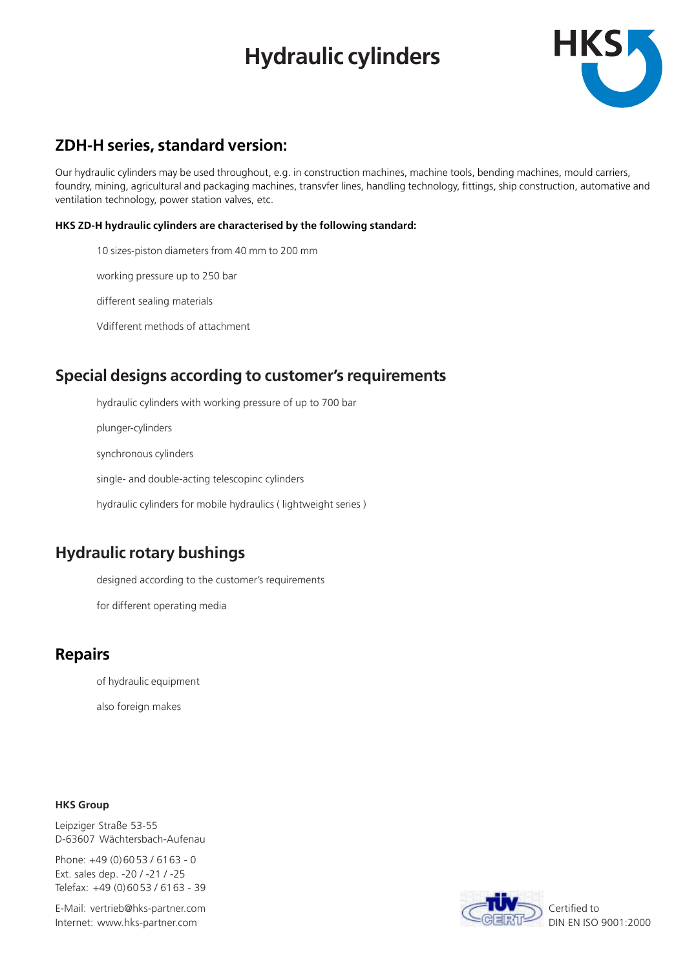# **Hydraulic cylinders**



### **ZDH-H series, standard version:**

Our hydraulic cylinders may be used throughout, e.g. in construction machines, machine tools, bending machines, mould carriers, foundry, mining, agricultural and packaging machines, transvfer lines, handling technology, fittings, ship construction, automative and ventilation technology, power station valves, etc.

### **HKS ZD-H hydraulic cylinders are characterised by the following standard:**

10 sizes-piston diameters from 40 mm to 200 mm

working pressure up to 250 bar

different sealing materials

Vdifferent methods of attachment

### **Special designs according to customer's requirements**

hydraulic cylinders with working pressure of up to 700 bar

plunger-cylinders

synchronous cylinders

single- and double-acting telescopinc cylinders

hydraulic cylinders for mobile hydraulics ( lightweight series )

### **Hydraulic rotary bushings**

designed according to the customer's requirements

for different operating media

### **Repairs**

of hydraulic equipment

also foreign makes

### **HKS Group**

Leipziger Straße 53-55 D-63607 Wächtersbach-Aufenau

Phone: +49 (0)6053 / 6163 - 0 Ext. sales dep. -20 / -21 / -25 Telefax: +49 (0)6053 / 6163 - 39

E-Mail: vertrieb@hks-partner.com Internet: www.hks-partner.com



DIN EN ISO 9001:2000